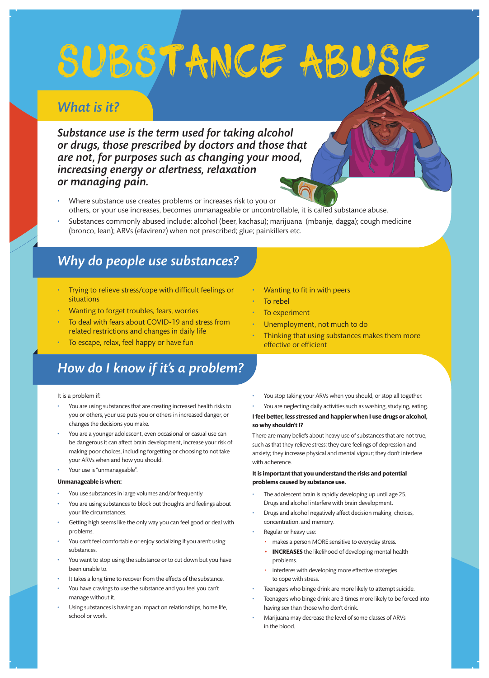# SUBSTANCE ABUSE

## *What is it?*

*Substance use is the term used for taking alcohol or drugs, those prescribed by doctors and those that are not, for purposes such as changing your mood, increasing energy or alertness, relaxation or managing pain.*

- Where substance use creates problems or increases risk to you or others, or your use increases, becomes unmanageable or uncontrollable, it is called substance abuse.
- Substances commonly abused include: alcohol (beer, kachasu); marijuana (mbanje, dagga); cough medicine (bronco, lean); ARVs (efavirenz) when not prescribed; glue; painkillers etc.

## *Why do people use substances?*

- Trying to relieve stress/cope with difficult feelings or situations
- Wanting to forget troubles, fears, worries
- To deal with fears about COVID-19 and stress from related restrictions and changes in daily life
- To escape, relax, feel happy or have fun

## *How do I know if it's a problem?*

It is a problem if:

- You are using substances that are creating increased health risks to you or others, your use puts you or others in increased danger, or changes the decisions you make.
- You are a younger adolescent, even occasional or casual use can be dangerous it can affect brain development, increase your risk of making poor choices, including forgetting or choosing to not take your ARVs when and how you should.
- Your use is "unmanageable".

#### **Unmanageable is when:**

- You use substances in large volumes and/or frequently
- You are using substances to block out thoughts and feelings about your life circumstances.
- Getting high seems like the only way you can feel good or deal with problems.
- You can't feel comfortable or enjoy socializing if you aren't using substances.
- You want to stop using the substance or to cut down but you have been unable to.
- It takes a long time to recover from the effects of the substance.
- You have cravings to use the substance and you feel you can't manage without it.
- Using substances is having an impact on relationships, home life, school or work.
- Wanting to fit in with peers
- To rebel
- To experiment
- Unemployment, not much to do
	- Thinking that using substances makes them more effective or efficient
- You stop taking your ARVs when you should, or stop all together.

#### • You are neglecting daily activities such as washing, studying, eating. **I feel better, less stressed and happier when I use drugs or alcohol, so why shouldn't I?**

There are many beliefs about heavy use of substances that are not true, such as that they relieve stress; they cure feelings of depression and anxiety; they increase physical and mental vigour; they don't interfere with adherence.

#### **It is important that you understand the risks and potential problems caused by substance use.**

- The adolescent brain is rapidly developing up until age 25. Drugs and alcohol interfere with brain development.
- Drugs and alcohol negatively affect decision making, choices, concentration, and memory.
- Regular or heavy use:
	- makes a person MORE sensitive to everyday stress.
	- **INCREASES** the likelihood of developing mental health problems.
	- interferes with developing more effective strategies to cope with stress.
	- Teenagers who binge drink are more likely to attempt suicide.
- Teenagers who binge drink are 3 times more likely to be forced into having sex than those who don't drink.
- Marijuana may decrease the level of some classes of ARVs in the blood.